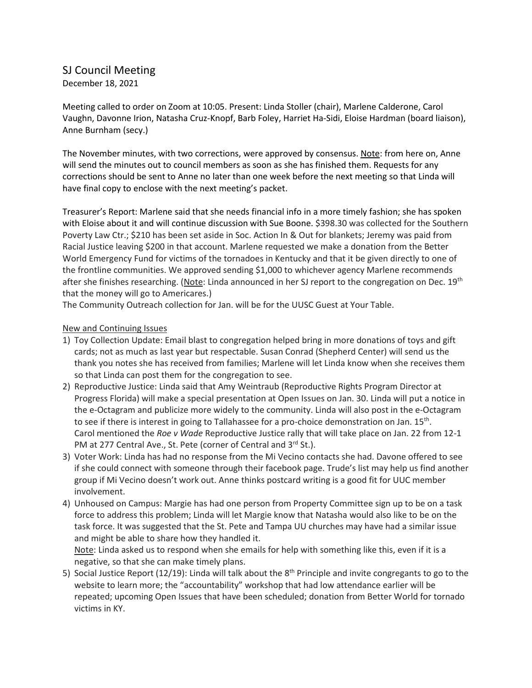## SJ Council Meeting

December 18, 2021

Meeting called to order on Zoom at 10:05. Present: Linda Stoller (chair), Marlene Calderone, Carol Vaughn, Davonne Irion, Natasha Cruz-Knopf, Barb Foley, Harriet Ha-Sidi, Eloise Hardman (board liaison), Anne Burnham (secy.)

The November minutes, with two corrections, were approved by consensus. Note: from here on, Anne will send the minutes out to council members as soon as she has finished them. Requests for any corrections should be sent to Anne no later than one week before the next meeting so that Linda will have final copy to enclose with the next meeting's packet.

Treasurer's Report: Marlene said that she needs financial info in a more timely fashion; she has spoken with Eloise about it and will continue discussion with Sue Boone. \$398.30 was collected for the Southern Poverty Law Ctr.; \$210 has been set aside in Soc. Action In & Out for blankets; Jeremy was paid from Racial Justice leaving \$200 in that account. Marlene requested we make a donation from the Better World Emergency Fund for victims of the tornadoes in Kentucky and that it be given directly to one of the frontline communities. We approved sending \$1,000 to whichever agency Marlene recommends after she finishes researching. (Note: Linda announced in her SJ report to the congregation on Dec. 19<sup>th</sup> that the money will go to Americares.)

The Community Outreach collection for Jan. will be for the UUSC Guest at Your Table.

## New and Continuing Issues

- 1) Toy Collection Update: Email blast to congregation helped bring in more donations of toys and gift cards; not as much as last year but respectable. Susan Conrad (Shepherd Center) will send us the thank you notes she has received from families; Marlene will let Linda know when she receives them so that Linda can post them for the congregation to see.
- 2) Reproductive Justice: Linda said that Amy Weintraub (Reproductive Rights Program Director at Progress Florida) will make a special presentation at Open Issues on Jan. 30. Linda will put a notice in the e-Octagram and publicize more widely to the community. Linda will also post in the e-Octagram to see if there is interest in going to Tallahassee for a pro-choice demonstration on Jan.  $15^{\text{th}}$ . Carol mentioned the *Roe v Wade* Reproductive Justice rally that will take place on Jan. 22 from 12-1 PM at 277 Central Ave., St. Pete (corner of Central and 3rd St.).
- 3) Voter Work: Linda has had no response from the Mi Vecino contacts she had. Davone offered to see if she could connect with someone through their facebook page. Trude's list may help us find another group if Mi Vecino doesn't work out. Anne thinks postcard writing is a good fit for UUC member involvement.
- 4) Unhoused on Campus: Margie has had one person from Property Committee sign up to be on a task force to address this problem; Linda will let Margie know that Natasha would also like to be on the task force. It was suggested that the St. Pete and Tampa UU churches may have had a similar issue and might be able to share how they handled it.

Note: Linda asked us to respond when she emails for help with something like this, even if it is a negative, so that she can make timely plans.

5) Social Justice Report (12/19): Linda will talk about the  $8<sup>th</sup>$  Principle and invite congregants to go to the website to learn more; the "accountability" workshop that had low attendance earlier will be repeated; upcoming Open Issues that have been scheduled; donation from Better World for tornado victims in KY.